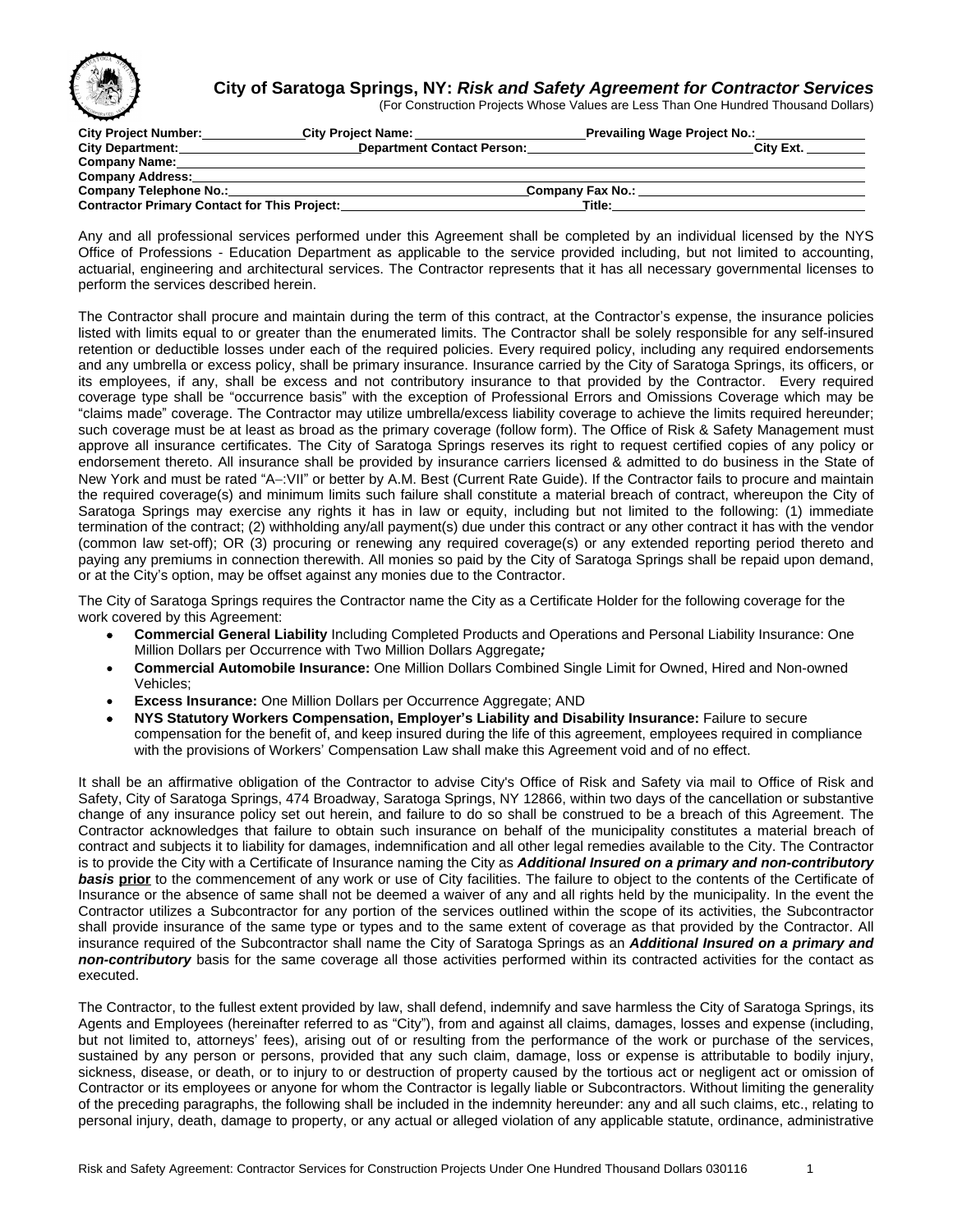

## **City of Saratoga Springs, NY:** *Risk and Safety Agreement for Contractor Services*

(For Construction Projects Whose Values are Less Than One Hundred Thousand Dollars)

| <b>City Project Number:</b>                         | <b>City Project Name:</b>         | _Prevailing Wage Project No.: |           |
|-----------------------------------------------------|-----------------------------------|-------------------------------|-----------|
| <b>City Department:</b>                             | <b>Department Contact Person:</b> |                               | City Ext. |
| <b>Company Name:</b>                                |                                   |                               |           |
| <b>Company Address:</b>                             |                                   |                               |           |
| <b>Company Telephone No.:</b>                       |                                   | Company Fax No.:              |           |
| <b>Contractor Primary Contact for This Project:</b> |                                   | Title:                        |           |

Any and all professional services performed under this Agreement shall be completed by an individual licensed by the NYS Office of Professions - Education Department as applicable to the service provided including, but not limited to accounting, actuarial, engineering and architectural services. The Contractor represents that it has all necessary governmental licenses to perform the services described herein.

The Contractor shall procure and maintain during the term of this contract, at the Contractor's expense, the insurance policies listed with limits equal to or greater than the enumerated limits. The Contractor shall be solely responsible for any self-insured retention or deductible losses under each of the required policies. Every required policy, including any required endorsements and any umbrella or excess policy, shall be primary insurance. Insurance carried by the City of Saratoga Springs, its officers, or its employees, if any, shall be excess and not contributory insurance to that provided by the Contractor. Every required coverage type shall be "occurrence basis" with the exception of Professional Errors and Omissions Coverage which may be "claims made" coverage. The Contractor may utilize umbrella/excess liability coverage to achieve the limits required hereunder; such coverage must be at least as broad as the primary coverage (follow form). The Office of Risk & Safety Management must approve all insurance certificates. The City of Saratoga Springs reserves its right to request certified copies of any policy or endorsement thereto. All insurance shall be provided by insurance carriers licensed & admitted to do business in the State of New York and must be rated "A-:VII" or better by A.M. Best (Current Rate Guide). If the Contractor fails to procure and maintain the required coverage(s) and minimum limits such failure shall constitute a material breach of contract, whereupon the City of Saratoga Springs may exercise any rights it has in law or equity, including but not limited to the following: (1) immediate termination of the contract; (2) withholding any/all payment(s) due under this contract or any other contract it has with the vendor (common law set-off); OR (3) procuring or renewing any required coverage(s) or any extended reporting period thereto and paying any premiums in connection therewith. All monies so paid by the City of Saratoga Springs shall be repaid upon demand, or at the City's option, may be offset against any monies due to the Contractor.

The City of Saratoga Springs requires the Contractor name the City as a Certificate Holder for the following coverage for the work covered by this Agreement:

- **Commercial General Liability** Including Completed Products and Operations and Personal Liability Insurance: One Million Dollars per Occurrence with Two Million Dollars Aggregate*;*
- **Commercial Automobile Insurance:** One Million Dollars Combined Single Limit for Owned, Hired and Non-owned Vehicles;
- **Excess Insurance:** One Million Dollars per Occurrence Aggregate; AND
- **NYS Statutory Workers Compensation, Employer's Liability and Disability Insurance:** Failure to secure compensation for the benefit of, and keep insured during the life of this agreement, employees required in compliance with the provisions of Workers' Compensation Law shall make this Agreement void and of no effect.

It shall be an affirmative obligation of the Contractor to advise City's Office of Risk and Safety via mail to Office of Risk and Safety, City of Saratoga Springs, 474 Broadway, Saratoga Springs, NY 12866, within two days of the cancellation or substantive change of any insurance policy set out herein, and failure to do so shall be construed to be a breach of this Agreement. The Contractor acknowledges that failure to obtain such insurance on behalf of the municipality constitutes a material breach of contract and subjects it to liability for damages, indemnification and all other legal remedies available to the City. The Contractor is to provide the City with a Certificate of Insurance naming the City as *Additional Insured on a primary and non-contributory basis* **prior** to the commencement of any work or use of City facilities. The failure to object to the contents of the Certificate of Insurance or the absence of same shall not be deemed a waiver of any and all rights held by the municipality. In the event the Contractor utilizes a Subcontractor for any portion of the services outlined within the scope of its activities, the Subcontractor shall provide insurance of the same type or types and to the same extent of coverage as that provided by the Contractor. All insurance required of the Subcontractor shall name the City of Saratoga Springs as an *Additional Insured on a primary and non-contributory* basis for the same coverage all those activities performed within its contracted activities for the contact as executed.

The Contractor, to the fullest extent provided by law, shall defend, indemnify and save harmless the City of Saratoga Springs, its Agents and Employees (hereinafter referred to as "City"), from and against all claims, damages, losses and expense (including, but not limited to, attorneys' fees), arising out of or resulting from the performance of the work or purchase of the services, sustained by any person or persons, provided that any such claim, damage, loss or expense is attributable to bodily injury, sickness, disease, or death, or to injury to or destruction of property caused by the tortious act or negligent act or omission of Contractor or its employees or anyone for whom the Contractor is legally liable or Subcontractors. Without limiting the generality of the preceding paragraphs, the following shall be included in the indemnity hereunder: any and all such claims, etc., relating to personal injury, death, damage to property, or any actual or alleged violation of any applicable statute, ordinance, administrative